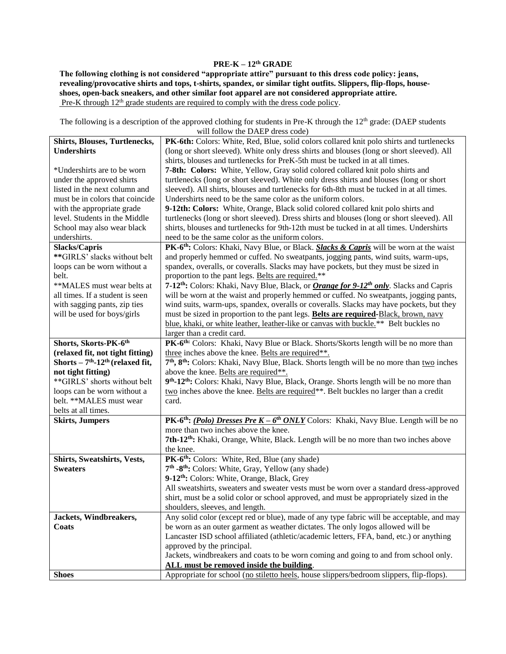## **PRE-K – 12th GRADE**

**The following clothing is not considered "appropriate attire" pursuant to this dress code policy: jeans, revealing/provocative shirts and tops, t-shirts, spandex, or similar tight outfits. Slippers, flip-flops, houseshoes, open-back sneakers, and other similar foot apparel are not considered appropriate attire.**  Pre-K through  $12<sup>th</sup>$  grade students are required to comply with the dress code policy.

The following is a description of the approved clothing for students in Pre-K through the 12<sup>th</sup> grade: (DAEP students will follow the DAEP dress code)

| <b>Shirts, Blouses, Turtlenecks,</b>          | PK-6th: Colors: White, Red, Blue, solid colors collared knit polo shirts and turtlenecks                                 |
|-----------------------------------------------|--------------------------------------------------------------------------------------------------------------------------|
| <b>Undershirts</b>                            | (long or short sleeved). White only dress shirts and blouses (long or short sleeved). All                                |
|                                               | shirts, blouses and turtlenecks for PreK-5th must be tucked in at all times.                                             |
| *Undershirts are to be worn                   | 7-8th: Colors: White, Yellow, Gray solid colored collared knit polo shirts and                                           |
| under the approved shirts                     | turtlenecks (long or short sleeved). White only dress shirts and blouses (long or short                                  |
| listed in the next column and                 | sleeved). All shirts, blouses and turtlenecks for 6th-8th must be tucked in at all times.                                |
| must be in colors that coincide               | Undershirts need to be the same color as the uniform colors.                                                             |
| with the appropriate grade                    | 9-12th: Colors: White, Orange, Black solid colored collared knit polo shirts and                                         |
| level. Students in the Middle                 | turtlenecks (long or short sleeved). Dress shirts and blouses (long or short sleeved). All                               |
| School may also wear black                    | shirts, blouses and turtlenecks for 9th-12th must be tucked in at all times. Undershirts                                 |
| undershirts.                                  | need to be the same color as the uniform colors.                                                                         |
| <b>Slacks/Capris</b>                          | PK-6 <sup>th</sup> : Colors: Khaki, Navy Blue, or Black. Slacks & Capris will be worn at the waist                       |
| **GIRLS' slacks without belt                  | and properly hemmed or cuffed. No sweatpants, jogging pants, wind suits, warm-ups,                                       |
| loops can be worn without a                   | spandex, overalls, or coveralls. Slacks may have pockets, but they must be sized in                                      |
| belt.                                         | proportion to the pant legs. Belts are required.**                                                                       |
| **MALES must wear belts at                    | 7-12 <sup>th</sup> : Colors: Khaki, Navy Blue, Black, or <i>Orange for 9-12<sup>th</sup> only</i> . Slacks and Capris    |
| all times. If a student is seen               | will be worn at the waist and properly hemmed or cuffed. No sweatpants, jogging pants,                                   |
| with sagging pants, zip ties                  | wind suits, warm-ups, spandex, overalls or coveralls. Slacks may have pockets, but they                                  |
| will be used for boys/girls                   | must be sized in proportion to the pant legs. Belts are required-Black, brown, navy                                      |
|                                               | blue, khaki, or white leather, leather-like or canvas with buckle.** Belt buckles no                                     |
|                                               | larger than a credit card.                                                                                               |
| Shorts, Skorts-PK-6th                         | PK-6 <sup>th:</sup> Colors: Khaki, Navy Blue or Black. Shorts/Skorts length will be no more than                         |
| (relaxed fit, not tight fitting)              | three inches above the knee. Belts are required**.                                                                       |
| Shorts $-7th$ -12 <sup>th</sup> (relaxed fit, | 7 <sup>th</sup> , 8 <sup>th</sup> : Colors: Khaki, Navy Blue, Black. Shorts length will be no more than two inches       |
| not tight fitting)                            | above the knee. Belts are required**.                                                                                    |
| **GIRLS' shorts without belt                  | 9th-12th: Colors: Khaki, Navy Blue, Black, Orange. Shorts length will be no more than                                    |
| loops can be worn without a                   | two inches above the knee. Belts are required**. Belt buckles no larger than a credit                                    |
| belt. ** MALES must wear                      | card.                                                                                                                    |
| belts at all times.                           |                                                                                                                          |
| <b>Skirts, Jumpers</b>                        | <b>PK-6<sup>th</sup></b> : <i>(Polo) Dresses Pre K – 6<sup>th</sup> ONLY</i> Colors: Khaki, Navy Blue. Length will be no |
|                                               | more than two inches above the knee.                                                                                     |
|                                               | 7th-12 <sup>th</sup> : Khaki, Orange, White, Black. Length will be no more than two inches above                         |
|                                               | the knee.                                                                                                                |
| Shirts, Sweatshirts, Vests,                   | PK-6 <sup>th</sup> : Colors: White, Red, Blue (any shade)                                                                |
| <b>Sweaters</b>                               | 7 <sup>th</sup> -8 <sup>th</sup> : Colors: White, Gray, Yellow (any shade)                                               |
|                                               | 9-12 <sup>th</sup> : Colors: White, Orange, Black, Grey                                                                  |
|                                               | All sweatshirts, sweaters and sweater vests must be worn over a standard dress-approved                                  |
|                                               | shirt, must be a solid color or school approved, and must be appropriately sized in the                                  |
|                                               | shoulders, sleeves, and length.                                                                                          |
| Jackets, Windbreakers,                        | Any solid color (except red or blue), made of any type fabric will be acceptable, and may                                |
| Coats                                         | be worn as an outer garment as weather dictates. The only logos allowed will be                                          |
|                                               | Lancaster ISD school affiliated (athletic/academic letters, FFA, band, etc.) or anything                                 |
|                                               | approved by the principal.                                                                                               |
|                                               | Jackets, windbreakers and coats to be worn coming and going to and from school only.                                     |
|                                               | ALL must be removed inside the building.                                                                                 |
| <b>Shoes</b>                                  | Appropriate for school (no stiletto heels, house slippers/bedroom slippers, flip-flops).                                 |